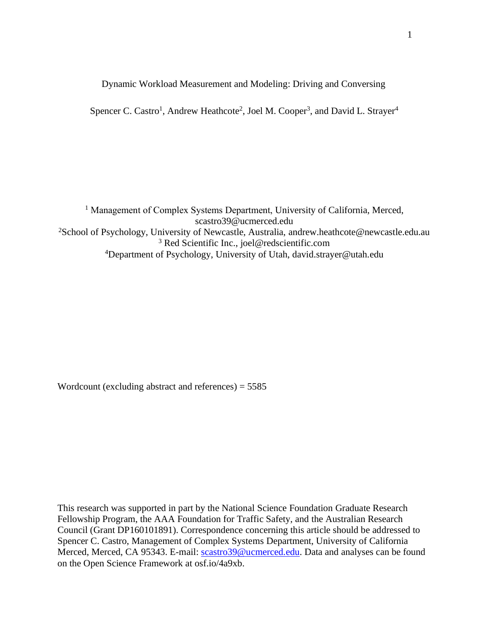Dynamic Workload Measurement and Modeling: Driving and Conversing

Spencer C. Castro<sup>1</sup>, Andrew Heathcote<sup>2</sup>, Joel M. Cooper<sup>3</sup>, and David L. Strayer<sup>4</sup>

<sup>1</sup> Management of Complex Systems Department, University of California, Merced, scastro39@ucmerced.edu <sup>2</sup>School of Psychology, University of Newcastle, Australia, andrew.heathcote@newcastle.edu.au <sup>3</sup> Red Scientific Inc., joel@redscientific.com <sup>4</sup>Department of Psychology, University of Utah, david.strayer@utah.edu

Wordcount (excluding abstract and references) = 5585

This research was supported in part by the National Science Foundation Graduate Research Fellowship Program, the AAA Foundation for Traffic Safety, and the Australian Research Council (Grant DP160101891). Correspondence concerning this article should be addressed to Spencer C. Castro, Management of Complex Systems Department, University of California Merced, Merced, CA 95343. E-mail: [scastro39@ucmerced.edu.](mailto:scastro39@ucmerced.edu) Data and analyses can be found on the Open Science Framework at osf.io/4a9xb.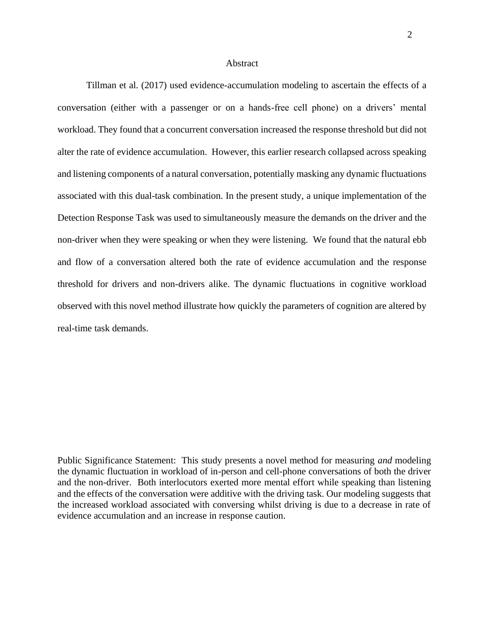### **Abstract**

Tillman et al. (2017) used evidence-accumulation modeling to ascertain the effects of a conversation (either with a passenger or on a hands-free cell phone) on a drivers' mental workload. They found that a concurrent conversation increased the response threshold but did not alter the rate of evidence accumulation. However, this earlier research collapsed across speaking and listening components of a natural conversation, potentially masking any dynamic fluctuations associated with this dual-task combination. In the present study, a unique implementation of the Detection Response Task was used to simultaneously measure the demands on the driver and the non-driver when they were speaking or when they were listening. We found that the natural ebb and flow of a conversation altered both the rate of evidence accumulation and the response threshold for drivers and non-drivers alike. The dynamic fluctuations in cognitive workload observed with this novel method illustrate how quickly the parameters of cognition are altered by real-time task demands.

Public Significance Statement: This study presents a novel method for measuring *and* modeling the dynamic fluctuation in workload of in-person and cell-phone conversations of both the driver and the non-driver. Both interlocutors exerted more mental effort while speaking than listening and the effects of the conversation were additive with the driving task. Our modeling suggests that the increased workload associated with conversing whilst driving is due to a decrease in rate of evidence accumulation and an increase in response caution.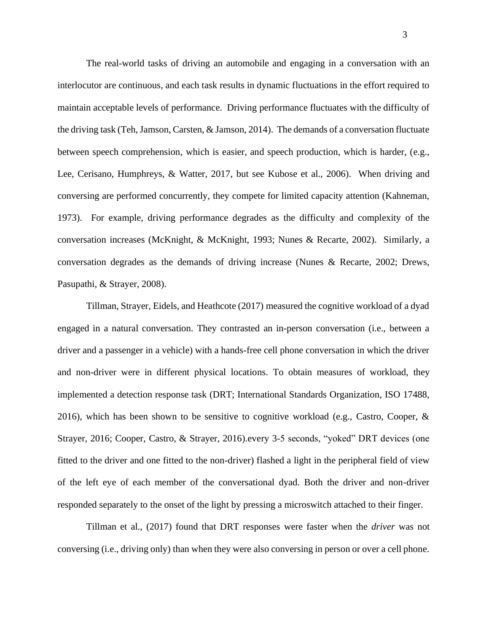The real-world tasks of driving an automobile and engaging in a conversation with an interlocutor are continuous, and each task results in dynamic fluctuations in the effort required to maintain acceptable levels of performance. Driving performance fluctuates with the difficulty of the driving task (Teh, Jamson, Carsten, & Jamson, 2014). The demands of a conversation fluctuate between speech comprehension, which is easier, and speech production, which is harder, (e.g., Lee, Cerisano, Humphreys, & Watter, 2017, but see Kubose et al., 2006). When driving and conversing are performed concurrently, they compete for limited capacity attention (Kahneman, 1973). For example, driving performance degrades as the difficulty and complexity of the conversation increases (McKnight, & McKnight, 1993; Nunes & Recarte, 2002). Similarly, a conversation degrades as the demands of driving increase (Nunes & Recarte, 2002; Drews, Pasupathi, & Strayer, 2008).

Tillman, Strayer, Eidels, and Heathcote (2017) measured the cognitive workload of a dyad engaged in a natural conversation. They contrasted an in-person conversation (i.e., between a driver and a passenger in a vehicle) with a hands-free cell phone conversation in which the driver and non-driver were in different physical locations. To obtain measures of workload, they implemented a detection response task (DRT; International Standards Organization, ISO 17488, 2016), which has been shown to be sensitive to cognitive workload (e.g., Castro, Cooper, & Strayer, 2016; Cooper, Castro, & Strayer, 2016).every 3-5 seconds, "yoked" DRT devices (one fitted to the driver and one fitted to the non-driver) flashed a light in the peripheral field of view of the left eye of each member of the conversational dyad. Both the driver and non-driver responded separately to the onset of the light by pressing a microswitch attached to their finger.

Tillman et al., (2017) found that DRT responses were faster when the *driver* was not conversing (i.e., driving only) than when they were also conversing in person or over a cell phone.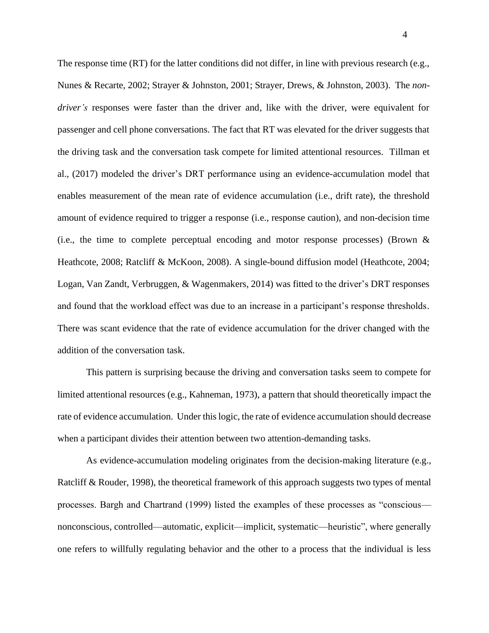The response time (RT) for the latter conditions did not differ, in line with previous research (e.g., Nunes & Recarte, 2002; Strayer & Johnston, 2001; Strayer, Drews, & Johnston, 2003). The *nondriver's* responses were faster than the driver and, like with the driver, were equivalent for passenger and cell phone conversations. The fact that RT was elevated for the driver suggests that the driving task and the conversation task compete for limited attentional resources. Tillman et al., (2017) modeled the driver's DRT performance using an evidence-accumulation model that enables measurement of the mean rate of evidence accumulation (i.e., drift rate), the threshold amount of evidence required to trigger a response (i.e., response caution), and non-decision time (i.e., the time to complete perceptual encoding and motor response processes) (Brown  $\&$ Heathcote, 2008; Ratcliff & McKoon, 2008). A single-bound diffusion model (Heathcote, 2004; Logan, Van Zandt, Verbruggen, & Wagenmakers, 2014) was fitted to the driver's DRT responses and found that the workload effect was due to an increase in a participant's response thresholds. There was scant evidence that the rate of evidence accumulation for the driver changed with the addition of the conversation task.

This pattern is surprising because the driving and conversation tasks seem to compete for limited attentional resources (e.g., Kahneman, 1973), a pattern that should theoretically impact the rate of evidence accumulation. Under this logic, the rate of evidence accumulation should decrease when a participant divides their attention between two attention-demanding tasks.

As evidence-accumulation modeling originates from the decision-making literature (e.g., Ratcliff & Rouder, 1998), the theoretical framework of this approach suggests two types of mental processes. Bargh and Chartrand (1999) listed the examples of these processes as "conscious nonconscious, controlled—automatic, explicit—implicit, systematic—heuristic", where generally one refers to willfully regulating behavior and the other to a process that the individual is less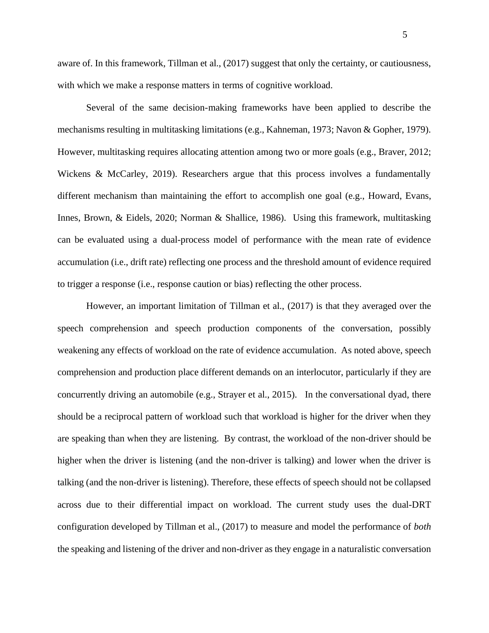aware of. In this framework, Tillman et al., (2017) suggest that only the certainty, or cautiousness, with which we make a response matters in terms of cognitive workload.

Several of the same decision-making frameworks have been applied to describe the mechanisms resulting in multitasking limitations (e.g., Kahneman, 1973; Navon & Gopher, 1979). However, multitasking requires allocating attention among two or more goals (e.g., Braver, 2012; Wickens & McCarley, 2019). Researchers argue that this process involves a fundamentally different mechanism than maintaining the effort to accomplish one goal (e.g., Howard, Evans, Innes, Brown, & Eidels, 2020; Norman & Shallice, 1986). Using this framework, multitasking can be evaluated using a dual-process model of performance with the mean rate of evidence accumulation (i.e., drift rate) reflecting one process and the threshold amount of evidence required to trigger a response (i.e., response caution or bias) reflecting the other process.

However, an important limitation of Tillman et al., (2017) is that they averaged over the speech comprehension and speech production components of the conversation, possibly weakening any effects of workload on the rate of evidence accumulation. As noted above, speech comprehension and production place different demands on an interlocutor, particularly if they are concurrently driving an automobile (e.g., Strayer et al., 2015). In the conversational dyad, there should be a reciprocal pattern of workload such that workload is higher for the driver when they are speaking than when they are listening. By contrast, the workload of the non-driver should be higher when the driver is listening (and the non-driver is talking) and lower when the driver is talking (and the non-driver is listening). Therefore, these effects of speech should not be collapsed across due to their differential impact on workload. The current study uses the dual-DRT configuration developed by Tillman et al., (2017) to measure and model the performance of *both* the speaking and listening of the driver and non-driver as they engage in a naturalistic conversation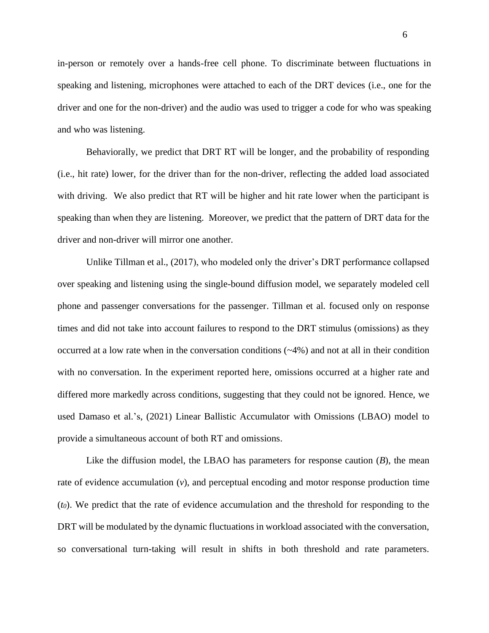in-person or remotely over a hands-free cell phone. To discriminate between fluctuations in speaking and listening, microphones were attached to each of the DRT devices (i.e., one for the driver and one for the non-driver) and the audio was used to trigger a code for who was speaking and who was listening.

Behaviorally, we predict that DRT RT will be longer, and the probability of responding (i.e., hit rate) lower, for the driver than for the non-driver, reflecting the added load associated with driving. We also predict that RT will be higher and hit rate lower when the participant is speaking than when they are listening. Moreover, we predict that the pattern of DRT data for the driver and non-driver will mirror one another.

Unlike Tillman et al., (2017), who modeled only the driver's DRT performance collapsed over speaking and listening using the single-bound diffusion model, we separately modeled cell phone and passenger conversations for the passenger. Tillman et al. focused only on response times and did not take into account failures to respond to the DRT stimulus (omissions) as they occurred at a low rate when in the conversation conditions  $(\sim 4\%)$  and not at all in their condition with no conversation. In the experiment reported here, omissions occurred at a higher rate and differed more markedly across conditions, suggesting that they could not be ignored. Hence, we used Damaso et al.'s, (2021) Linear Ballistic Accumulator with Omissions (LBAO) model to provide a simultaneous account of both RT and omissions.

Like the diffusion model, the LBAO has parameters for response caution (*B*), the mean rate of evidence accumulation (*v*), and perceptual encoding and motor response production time (*t0*). We predict that the rate of evidence accumulation and the threshold for responding to the DRT will be modulated by the dynamic fluctuations in workload associated with the conversation, so conversational turn-taking will result in shifts in both threshold and rate parameters.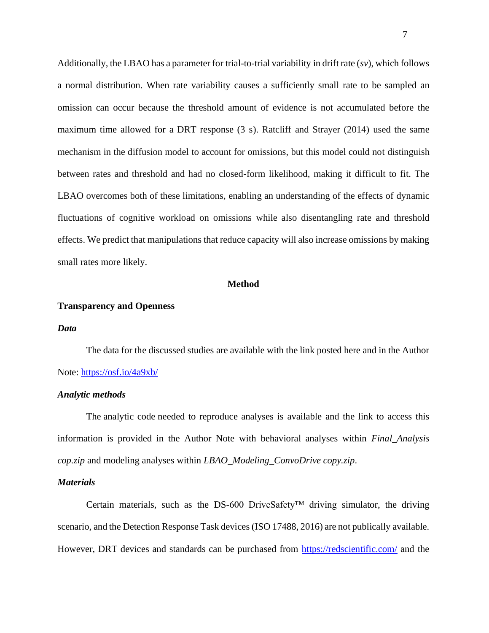Additionally, the LBAO has a parameter for trial-to-trial variability in drift rate (*sv*), which follows a normal distribution. When rate variability causes a sufficiently small rate to be sampled an omission can occur because the threshold amount of evidence is not accumulated before the maximum time allowed for a DRT response (3 s). Ratcliff and Strayer (2014) used the same mechanism in the diffusion model to account for omissions, but this model could not distinguish between rates and threshold and had no closed-form likelihood, making it difficult to fit. The LBAO overcomes both of these limitations, enabling an understanding of the effects of dynamic fluctuations of cognitive workload on omissions while also disentangling rate and threshold effects. We predict that manipulations that reduce capacity will also increase omissions by making small rates more likely.

### **Method**

## **Transparency and Openness**

### *Data*

The data for the discussed studies are available with the link posted here and in the Author Note:<https://osf.io/4a9xb/>

## *Analytic methods*

The analytic code needed to reproduce analyses is available and the link to access this information is provided in the Author Note with behavioral analyses within *Final\_Analysis cop.zip* and modeling analyses within *LBAO\_Modeling\_ConvoDrive copy.zip*.

### *Materials*

Certain materials, such as the DS-600 DriveSafety™ driving simulator, the driving scenario, and the Detection Response Task devices (ISO 17488, 2016) are not publically available. However, DRT devices and standards can be purchased from<https://redscientific.com/> and the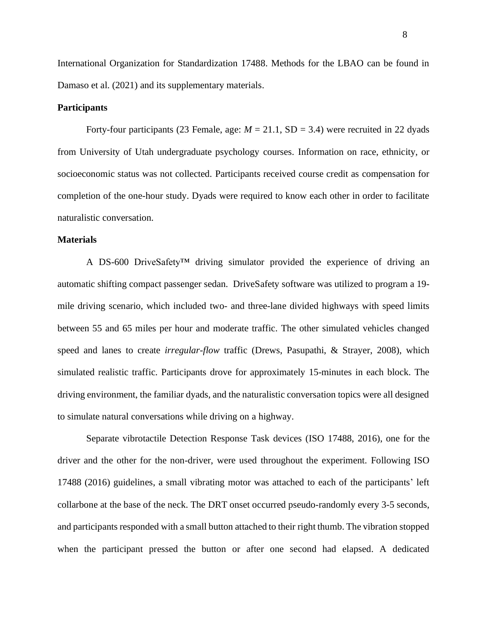International Organization for Standardization 17488. Methods for the LBAO can be found in Damaso et al. (2021) and its supplementary materials.

### **Participants**

Forty-four participants (23 Female, age:  $M = 21.1$ , SD = 3.4) were recruited in 22 dyads from University of Utah undergraduate psychology courses. Information on race, ethnicity, or socioeconomic status was not collected. Participants received course credit as compensation for completion of the one-hour study. Dyads were required to know each other in order to facilitate naturalistic conversation.

### **Materials**

A DS-600 DriveSafety<sup>™</sup> driving simulator provided the experience of driving an automatic shifting compact passenger sedan. DriveSafety software was utilized to program a 19 mile driving scenario, which included two- and three-lane divided highways with speed limits between 55 and 65 miles per hour and moderate traffic. The other simulated vehicles changed speed and lanes to create *irregular-flow* traffic (Drews, Pasupathi, & Strayer, 2008), which simulated realistic traffic. Participants drove for approximately 15-minutes in each block. The driving environment, the familiar dyads, and the naturalistic conversation topics were all designed to simulate natural conversations while driving on a highway.

Separate vibrotactile Detection Response Task devices (ISO 17488, 2016), one for the driver and the other for the non-driver, were used throughout the experiment. Following ISO 17488 (2016) guidelines, a small vibrating motor was attached to each of the participants' left collarbone at the base of the neck. The DRT onset occurred pseudo-randomly every 3-5 seconds, and participants responded with a small button attached to their right thumb. The vibration stopped when the participant pressed the button or after one second had elapsed. A dedicated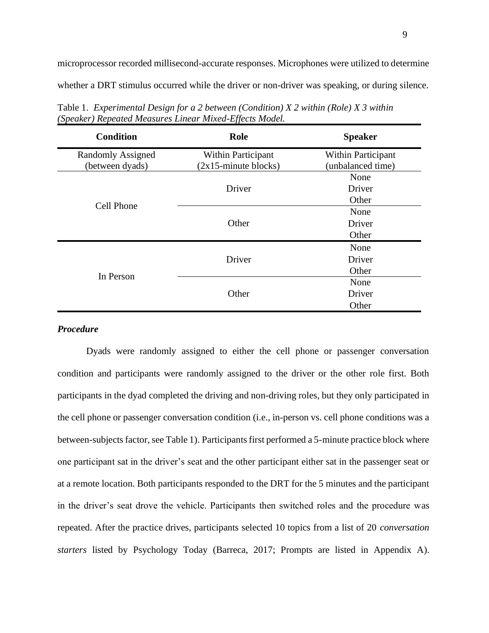microprocessor recorded millisecond-accurate responses. Microphones were utilized to determine whether a DRT stimulus occurred while the driver or non-driver was speaking, or during silence.

| <b>Condition</b>         | Role                      | <b>Speaker</b>            |  |  |  |
|--------------------------|---------------------------|---------------------------|--|--|--|
| <b>Randomly Assigned</b> | <b>Within Participant</b> | <b>Within Participant</b> |  |  |  |
| (between dyads)          | $(2x15 - minute blocks)$  | (unbalanced time)         |  |  |  |
|                          |                           | None                      |  |  |  |
|                          | Driver                    | Driver                    |  |  |  |
| <b>Cell Phone</b>        |                           | Other                     |  |  |  |
|                          |                           | None                      |  |  |  |
|                          | Other                     | Driver                    |  |  |  |
|                          |                           | Other                     |  |  |  |
| In Person                |                           | None                      |  |  |  |
|                          | Driver                    | Driver                    |  |  |  |
|                          |                           | Other                     |  |  |  |
|                          |                           | None                      |  |  |  |
|                          | Other                     | Driver                    |  |  |  |
|                          |                           | Other                     |  |  |  |

Table 1. *Experimental Design for a 2 between (Condition) X 2 within (Role) X 3 within (Speaker) Repeated Measures Linear Mixed-Effects Model.*

### *Procedure*

Dyads were randomly assigned to either the cell phone or passenger conversation condition and participants were randomly assigned to the driver or the other role first. Both participants in the dyad completed the driving and non-driving roles, but they only participated in the cell phone or passenger conversation condition (i.e., in-person vs. cell phone conditions was a between-subjects factor, see Table 1). Participants first performed a 5-minute practice block where one participant sat in the driver's seat and the other participant either sat in the passenger seat or at a remote location. Both participants responded to the DRT for the 5 minutes and the participant in the driver's seat drove the vehicle. Participants then switched roles and the procedure was repeated. After the practice drives, participants selected 10 topics from a list of 20 *conversation starters* listed by Psychology Today (Barreca, 2017; Prompts are listed in Appendix A).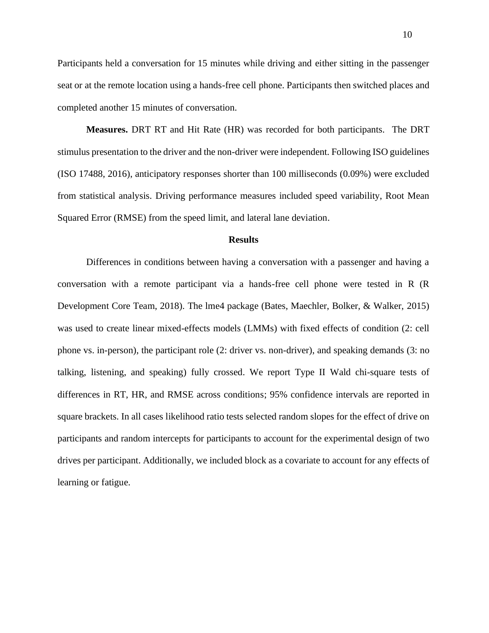Participants held a conversation for 15 minutes while driving and either sitting in the passenger seat or at the remote location using a hands-free cell phone. Participants then switched places and completed another 15 minutes of conversation.

**Measures.** DRT RT and Hit Rate (HR) was recorded for both participants. The DRT stimulus presentation to the driver and the non-driver were independent. Following ISO guidelines (ISO 17488, 2016), anticipatory responses shorter than 100 milliseconds (0.09%) were excluded from statistical analysis. Driving performance measures included speed variability, Root Mean Squared Error (RMSE) from the speed limit, and lateral lane deviation.

### **Results**

Differences in conditions between having a conversation with a passenger and having a conversation with a remote participant via a hands-free cell phone were tested in R (R Development Core Team, 2018). The lme4 package (Bates, Maechler, Bolker, & Walker, 2015) was used to create linear mixed-effects models (LMMs) with fixed effects of condition (2: cell phone vs. in-person), the participant role (2: driver vs. non-driver), and speaking demands (3: no talking, listening, and speaking) fully crossed. We report Type II Wald chi-square tests of differences in RT, HR, and RMSE across conditions; 95% confidence intervals are reported in square brackets. In all cases likelihood ratio tests selected random slopes for the effect of drive on participants and random intercepts for participants to account for the experimental design of two drives per participant. Additionally, we included block as a covariate to account for any effects of learning or fatigue.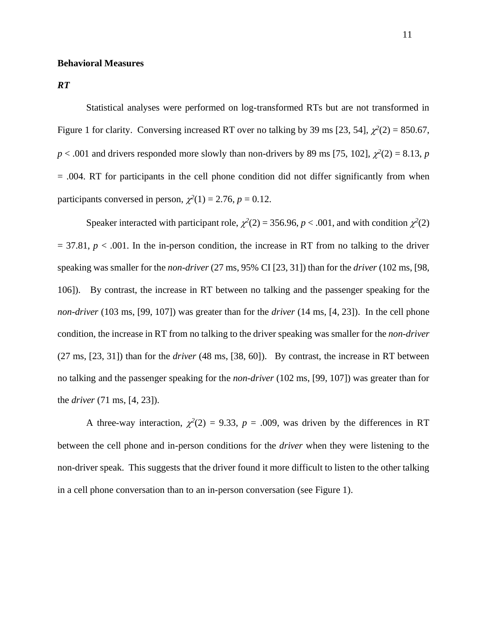### **Behavioral Measures**

*RT*

Statistical analyses were performed on log-transformed RTs but are not transformed in Figure 1 for clarity. Conversing increased RT over no talking by 39 ms [23, 54],  $\chi^2(2) = 850.67$ ,  $p < .001$  and drivers responded more slowly than non-drivers by 89 ms [75, 102],  $\chi^2(2) = 8.13$ , *p* = .004. RT for participants in the cell phone condition did not differ significantly from when participants conversed in person,  $\chi^2(1) = 2.76$ ,  $p = 0.12$ .

Speaker interacted with participant role,  $\chi^2(2) = 356.96$ ,  $p < .001$ , and with condition  $\chi^2(2)$  $= 37.81, p < .001$ . In the in-person condition, the increase in RT from no talking to the driver speaking was smaller for the *non-driver* (27 ms, 95% CI [23, 31]) than for the *driver* (102 ms, [98, 106]). By contrast, the increase in RT between no talking and the passenger speaking for the *non-driver* (103 ms, [99, 107]) was greater than for the *driver* (14 ms, [4, 23]). In the cell phone condition, the increase in RT from no talking to the driver speaking was smaller for the *non-driver* (27 ms, [23, 31]) than for the *driver* (48 ms, [38, 60]). By contrast, the increase in RT between no talking and the passenger speaking for the *non-driver* (102 ms, [99, 107]) was greater than for the *driver* (71 ms, [4, 23]).

A three-way interaction,  $\chi^2(2) = 9.33$ ,  $p = .009$ , was driven by the differences in RT between the cell phone and in-person conditions for the *driver* when they were listening to the non-driver speak. This suggests that the driver found it more difficult to listen to the other talking in a cell phone conversation than to an in-person conversation (see Figure 1).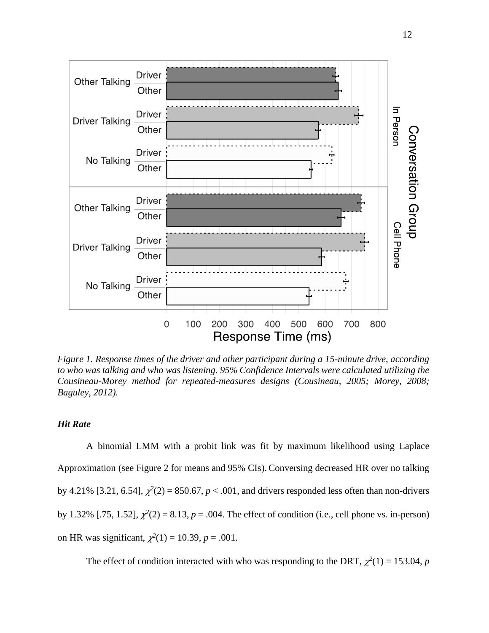

*Figure 1. Response times of the driver and other participant during a 15-minute drive, according to who was talking and who was listening. 95% Confidence Intervals were calculated utilizing the Cousineau-Morey method for repeated-measures designs (Cousineau, 2005; Morey, 2008; Baguley, 2012).*

## *Hit Rate*

A binomial LMM with a probit link was fit by maximum likelihood using Laplace Approximation (see Figure 2 for means and 95% CIs). Conversing decreased HR over no talking by 4.21% [3.21, 6.54],  $\chi^2(2) = 850.67$ ,  $p < .001$ , and drivers responded less often than non-drivers by 1.32% [.75, 1.52],  $\chi^2(2) = 8.13$ ,  $p = .004$ . The effect of condition (i.e., cell phone vs. in-person) on HR was significant,  $\chi^2(1) = 10.39$ ,  $p = .001$ .

The effect of condition interacted with who was responding to the DRT,  $\chi^2(1) = 153.04$ , *p*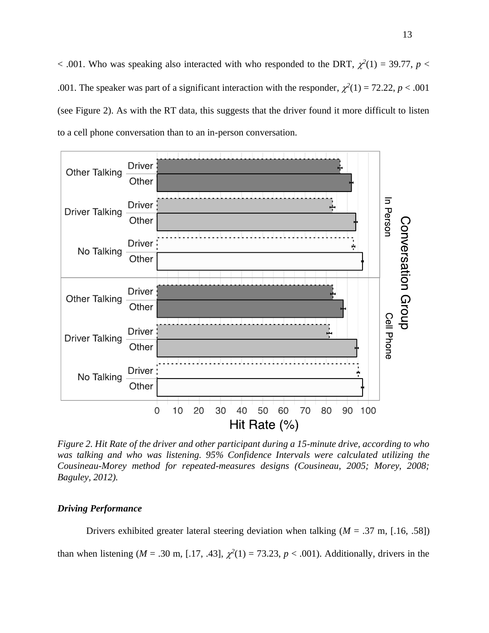$<$  .001. Who was speaking also interacted with who responded to the DRT,  $\chi^2(1) = 39.77$ ,  $p <$ .001. The speaker was part of a significant interaction with the responder,  $\chi^2(1) = 72.22$ ,  $p < .001$ (see Figure 2). As with the RT data, this suggests that the driver found it more difficult to listen to a cell phone conversation than to an in-person conversation.



*Figure 2. Hit Rate of the driver and other participant during a 15-minute drive, according to who was talking and who was listening. 95% Confidence Intervals were calculated utilizing the Cousineau-Morey method for repeated-measures designs (Cousineau, 2005; Morey, 2008; Baguley, 2012).*

### *Driving Performance*

Drivers exhibited greater lateral steering deviation when talking (*M* = .37 m, [.16, .58]) than when listening ( $M = .30$  m, [.17, .43],  $\chi^2(1) = 73.23$ ,  $p < .001$ ). Additionally, drivers in the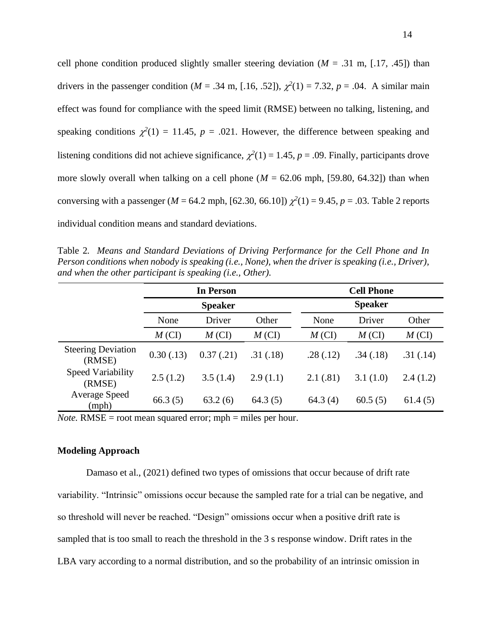cell phone condition produced slightly smaller steering deviation  $(M = .31 \text{ m}, [.17, .45])$  than drivers in the passenger condition ( $M = .34$  m, [.16, .52]),  $\chi^2(1) = 7.32$ ,  $p = .04$ . A similar main effect was found for compliance with the speed limit (RMSE) between no talking, listening, and speaking conditions  $\chi^2(1) = 11.45$ ,  $p = .021$ . However, the difference between speaking and listening conditions did not achieve significance,  $\chi^2(1) = 1.45$ ,  $p = .09$ . Finally, participants drove more slowly overall when talking on a cell phone ( $M = 62.06$  mph, [59.80, 64.32]) than when conversing with a passenger ( $M = 64.2$  mph, [62.30, 66.10])  $\chi^2(1) = 9.45$ ,  $p = .03$ . Table 2 reports individual condition means and standard deviations.

Table 2*. Means and Standard Deviations of Driving Performance for the Cell Phone and In Person conditions when nobody is speaking (i.e., None), when the driver is speaking (i.e., Driver), and when the other participant is speaking (i.e., Other).*

|                                     |                | <b>In Person</b> |          | <b>Cell Phone</b> |          |          |  |
|-------------------------------------|----------------|------------------|----------|-------------------|----------|----------|--|
|                                     | <b>Speaker</b> |                  |          |                   |          |          |  |
|                                     | None           | Driver           | Other    | None              | Driver   | Other    |  |
|                                     | $M$ (CI)       | $M$ (CI)         | $M$ (CI) | $M$ (CI)          | $M$ (CI) | $M$ (CI) |  |
| <b>Steering Deviation</b><br>(RMSE) | 0.30(0.13)     | 0.37(0.21)       | .31(.18) | .28(.12)          | .34(.18) | .31(.14) |  |
| <b>Speed Variability</b><br>(RMSE)  | 2.5(1.2)       | 3.5(1.4)         | 2.9(1.1) | 2.1(.81)          | 3.1(1.0) | 2.4(1.2) |  |
| <b>Average Speed</b><br>(mph)       | 66.3(5)        | 63.2(6)          | 64.3(5)  | 64.3(4)           | 60.5(5)  | 61.4(5)  |  |

*Note.* RMSE = root mean squared error; mph = miles per hour.

### **Modeling Approach**

Damaso et al., (2021) defined two types of omissions that occur because of drift rate variability. "Intrinsic" omissions occur because the sampled rate for a trial can be negative, and so threshold will never be reached. "Design" omissions occur when a positive drift rate is sampled that is too small to reach the threshold in the 3 s response window. Drift rates in the LBA vary according to a normal distribution, and so the probability of an intrinsic omission in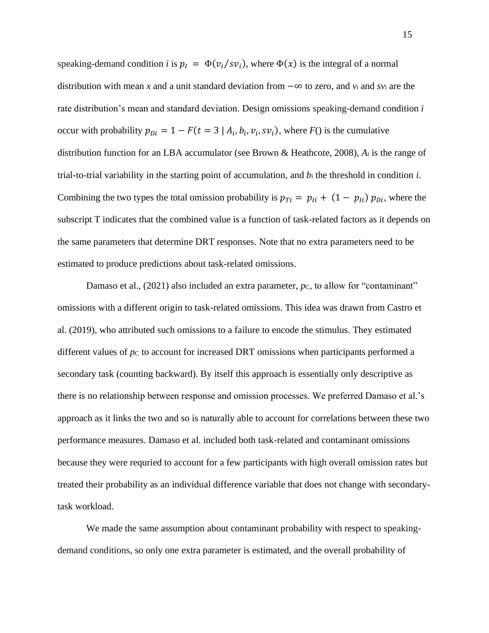speaking-demand condition *i* is  $p_l = \Phi(v_i/sv_i)$ , where  $\Phi(x)$  is the integral of a normal distribution with mean *x* and a unit standard deviation from −∞ to zero, and *v<sup>i</sup>* and *sv*<sup>i</sup> are the rate distribution's mean and standard deviation. Design omissions speaking-demand condition *i* occur with probability  $p_{Di} = 1 - F(t = 3 | A_i, b_i, v_i, sv_i)$ , where  $F()$  is the cumulative distribution function for an LBA accumulator (see Brown & Heathcote, 2008), *A<sup>i</sup>* is the range of trial-to-trial variability in the starting point of accumulation, and *b*<sup>i</sup> the threshold in condition *i*. Combining the two types the total omission probability is  $p_{Ti} = p_{Ii} + (1 - p_{Ii}) p_{Di}$ , where the subscript T indicates that the combined value is a function of task-related factors as it depends on the same parameters that determine DRT responses. Note that no extra parameters need to be estimated to produce predictions about task-related omissions.

Damaso et al., (2021) also included an extra parameter, *pc*, to allow for "contaminant" omissions with a different origin to task-related omissions. This idea was drawn from Castro et al. (2019), who attributed such omissions to a failure to encode the stimulus. They estimated different values of  $p_c$  to account for increased DRT omissions when participants performed a secondary task (counting backward). By itself this approach is essentially only descriptive as there is no relationship between response and omission processes. We preferred Damaso et al.'s approach as it links the two and so is naturally able to account for correlations between these two performance measures. Damaso et al. included both task-related and contaminant omissions because they were requried to account for a few participants with high overall omission rates but treated their probability as an individual difference variable that does not change with secondarytask workload.

We made the same assumption about contaminant probability with respect to speakingdemand conditions, so only one extra parameter is estimated, and the overall probability of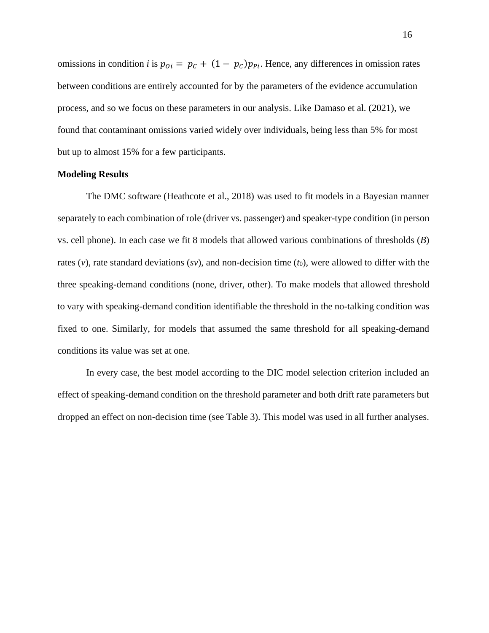omissions in condition *i* is  $p_{0i} = p_c + (1 - p_c)p_{pi}$ . Hence, any differences in omission rates between conditions are entirely accounted for by the parameters of the evidence accumulation process, and so we focus on these parameters in our analysis. Like Damaso et al. (2021), we found that contaminant omissions varied widely over individuals, being less than 5% for most but up to almost 15% for a few participants.

### **Modeling Results**

The DMC software (Heathcote et al., 2018) was used to fit models in a Bayesian manner separately to each combination of role (driver vs. passenger) and speaker-type condition (in person vs. cell phone). In each case we fit 8 models that allowed various combinations of thresholds (*B*) rates (*v*), rate standard deviations (*sv*), and non-decision time (*t*<sub>0</sub>), were allowed to differ with the three speaking-demand conditions (none, driver, other). To make models that allowed threshold to vary with speaking-demand condition identifiable the threshold in the no-talking condition was fixed to one. Similarly, for models that assumed the same threshold for all speaking-demand conditions its value was set at one.

In every case, the best model according to the DIC model selection criterion included an effect of speaking-demand condition on the threshold parameter and both drift rate parameters but dropped an effect on non-decision time (see Table 3). This model was used in all further analyses.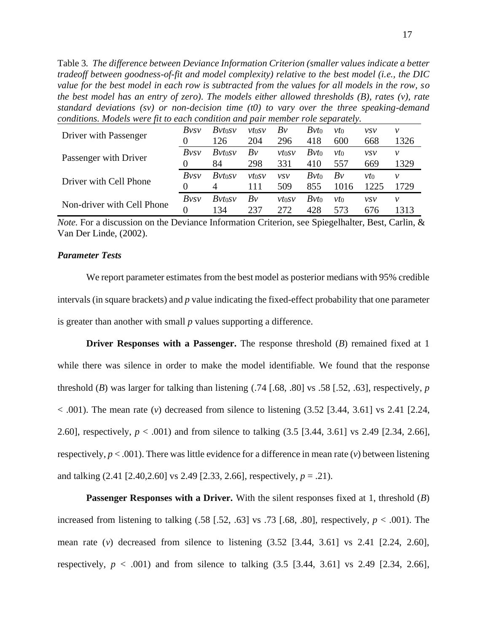Table 3*. The difference between Deviance Information Criterion (smaller values indicate a better tradeoff between goodness-of-fit and model complexity) relative to the best model (i.e., the DIC value for the best model in each row is subtracted from the values for all models in the row, so the best model has an entry of zero). The models either allowed thresholds (B), rates (v), rate standard deviations (sv) or non-decision time (t0) to vary over the three speaking-demand conditions. Models were fit to each condition and pair member role separately.*

| Driver with Passenger      | Bvsv | Bvt0sv              | vt0SV | Bv         | Bvt0    | νtο    | <i>vsv</i> | ν    |
|----------------------------|------|---------------------|-------|------------|---------|--------|------------|------|
|                            |      | 126                 | 204   | 296        | 418     | 600    | 668        | 1326 |
| Passenger with Driver      | Bvsv | Bvt <sub>0</sub> sv | Bv    | vtosv      | $Bvt_0$ | $vt_0$ | VSV        | ν    |
|                            |      | 84                  | 298   | 331        | 410     | 557    | 669        | 1329 |
|                            |      |                     |       |            |         |        |            |      |
|                            | Bvsv | Bvt0sv              | vt0SV | <i>vsv</i> | Bvt0    | Bv     | νtο        | ν    |
| Driver with Cell Phone     |      | $\overline{4}$      | 111   | 509        | 855     | 1016   | 1225       | 729  |
| Non-driver with Cell Phone | Bvsv | Bvt <sub>0</sub> sv | Bv    | vtosv      | $Bvt_0$ | νtο    | <i>vsv</i> | ν    |

*Note.* For a discussion on the Deviance Information Criterion, see Spiegelhalter, Best, Carlin, & Van Der Linde, (2002).

# *Parameter Tests*

We report parameter estimates from the best model as posterior medians with 95% credible intervals (in square brackets) and *p* value indicating the fixed-effect probability that one parameter is greater than another with small *p* values supporting a difference.

**Driver Responses with a Passenger.** The response threshold (*B*) remained fixed at 1 while there was silence in order to make the model identifiable. We found that the response threshold (*B*) was larger for talking than listening (.74 [.68, .80] vs .58 [.52, .63], respectively, *p*   $< .001$ ). The mean rate (*v*) decreased from silence to listening  $(3.52 \, [3.44, 3.61] \,$  vs 2.41 [2.24, 2.60], respectively, *p* < .001) and from silence to talking (3.5 [3.44, 3.61] vs 2.49 [2.34, 2.66], respectively,  $p < .001$ ). There was little evidence for a difference in mean rate (*v*) between listening and talking (2.41 [2.40,2.60] vs 2.49 [2.33, 2.66], respectively, *p* = .21).

**Passenger Responses with a Driver.** With the silent responses fixed at 1, threshold (*B*) increased from listening to talking  $(.58 \; [0.52, 0.63] \; \text{vs.} \; .73 \; [0.68, 0.80]$ , respectively,  $p < 0.001$ ). The mean rate (*v*) decreased from silence to listening (3.52 [3.44, 3.61] vs 2.41 [2.24, 2.60], respectively,  $p < .001$ ) and from silence to talking  $(3.5 \, [3.44, 3.61]$  vs 2.49 [2.34, 2.66],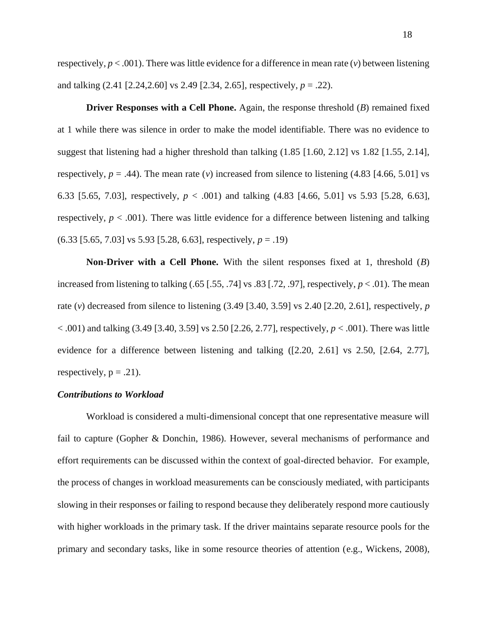**Driver Responses with a Cell Phone.** Again, the response threshold (*B*) remained fixed at 1 while there was silence in order to make the model identifiable. There was no evidence to suggest that listening had a higher threshold than talking (1.85 [1.60, 2.12] vs 1.82 [1.55, 2.14], respectively,  $p = .44$ ). The mean rate (*v*) increased from silence to listening (4.83 [4.66, 5.01] vs 6.33 [5.65, 7.03], respectively, *p* < .001) and talking (4.83 [4.66, 5.01] vs 5.93 [5.28, 6.63], respectively,  $p < .001$ ). There was little evidence for a difference between listening and talking (6.33 [5.65, 7.03] vs 5.93 [5.28, 6.63], respectively, *p* = .19)

**Non-Driver with a Cell Phone.** With the silent responses fixed at 1, threshold (*B*) increased from listening to talking  $(.65 \, [.55, .74]$  vs  $.83 \, [.72, .97]$ , respectively,  $p < .01$ ). The mean rate (*v*) decreased from silence to listening (3.49 [3.40, 3.59] vs 2.40 [2.20, 2.61], respectively, *p* < .001) and talking (3.49 [3.40, 3.59] vs 2.50 [2.26, 2.77], respectively, *p* < .001). There was little evidence for a difference between listening and talking ([2.20, 2.61] vs 2.50, [2.64, 2.77], respectively,  $p = .21$ ).

#### *Contributions to Workload*

Workload is considered a multi-dimensional concept that one representative measure will fail to capture (Gopher & Donchin, 1986). However, several mechanisms of performance and effort requirements can be discussed within the context of goal-directed behavior. For example, the process of changes in workload measurements can be consciously mediated, with participants slowing in their responses or failing to respond because they deliberately respond more cautiously with higher workloads in the primary task. If the driver maintains separate resource pools for the primary and secondary tasks, like in some resource theories of attention (e.g., Wickens, 2008),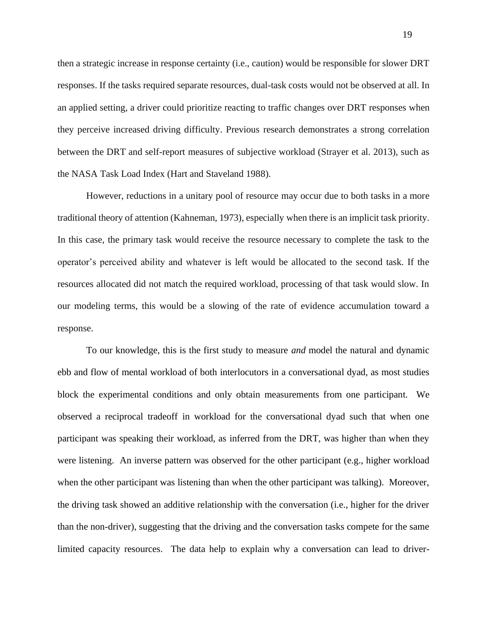then a strategic increase in response certainty (i.e., caution) would be responsible for slower DRT responses. If the tasks required separate resources, dual-task costs would not be observed at all. In an applied setting, a driver could prioritize reacting to traffic changes over DRT responses when they perceive increased driving difficulty. Previous research demonstrates a strong correlation between the DRT and self-report measures of subjective workload (Strayer et al. 2013), such as the NASA Task Load Index (Hart and Staveland 1988).

However, reductions in a unitary pool of resource may occur due to both tasks in a more traditional theory of attention (Kahneman, 1973), especially when there is an implicit task priority. In this case, the primary task would receive the resource necessary to complete the task to the operator's perceived ability and whatever is left would be allocated to the second task. If the resources allocated did not match the required workload, processing of that task would slow. In our modeling terms, this would be a slowing of the rate of evidence accumulation toward a response.

To our knowledge, this is the first study to measure *and* model the natural and dynamic ebb and flow of mental workload of both interlocutors in a conversational dyad, as most studies block the experimental conditions and only obtain measurements from one participant. We observed a reciprocal tradeoff in workload for the conversational dyad such that when one participant was speaking their workload, as inferred from the DRT, was higher than when they were listening. An inverse pattern was observed for the other participant (e.g., higher workload when the other participant was listening than when the other participant was talking). Moreover, the driving task showed an additive relationship with the conversation (i.e., higher for the driver than the non-driver), suggesting that the driving and the conversation tasks compete for the same limited capacity resources. The data help to explain why a conversation can lead to driver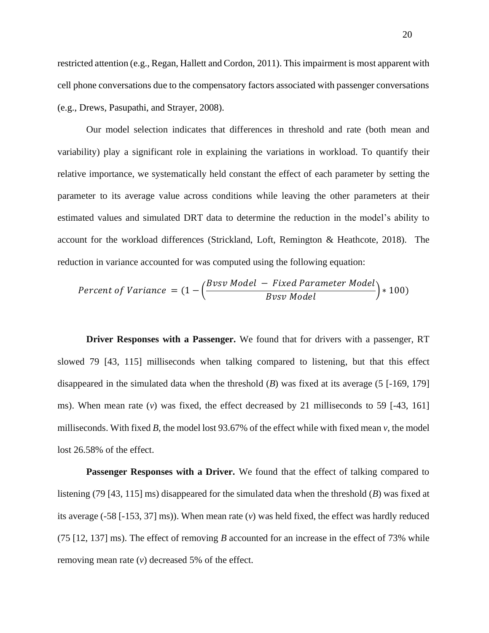restricted attention (e.g., Regan, Hallett and Cordon, 2011). This impairment is most apparent with cell phone conversations due to the compensatory factors associated with passenger conversations (e.g., Drews, Pasupathi, and Strayer, 2008).

Our model selection indicates that differences in threshold and rate (both mean and variability) play a significant role in explaining the variations in workload. To quantify their relative importance, we systematically held constant the effect of each parameter by setting the parameter to its average value across conditions while leaving the other parameters at their estimated values and simulated DRT data to determine the reduction in the model's ability to account for the workload differences (Strickland, Loft, Remington & Heathcote, 2018). The reduction in variance accounted for was computed using the following equation:

$$
Percent \ of \ Variance = (1 - \left(\frac{Bvsv \ Model - Fixed \ Parameter \ Model}{Bvsv \ Model}\right) * 100)
$$

**Driver Responses with a Passenger.** We found that for drivers with a passenger, RT slowed 79 [43, 115] milliseconds when talking compared to listening, but that this effect disappeared in the simulated data when the threshold (*B*) was fixed at its average (5 [-169, 179] ms). When mean rate (*v*) was fixed, the effect decreased by 21 milliseconds to 59 [-43, 161] milliseconds. With fixed *B*, the model lost 93.67% of the effect while with fixed mean *v*, the model lost 26.58% of the effect.

Passenger Responses with a Driver. We found that the effect of talking compared to listening (79 [43, 115] ms) disappeared for the simulated data when the threshold (*B*) was fixed at its average (-58 [-153, 37] ms)). When mean rate (*v*) was held fixed, the effect was hardly reduced (75 [12, 137] ms). The effect of removing *B* accounted for an increase in the effect of 73% while removing mean rate (*v*) decreased 5% of the effect.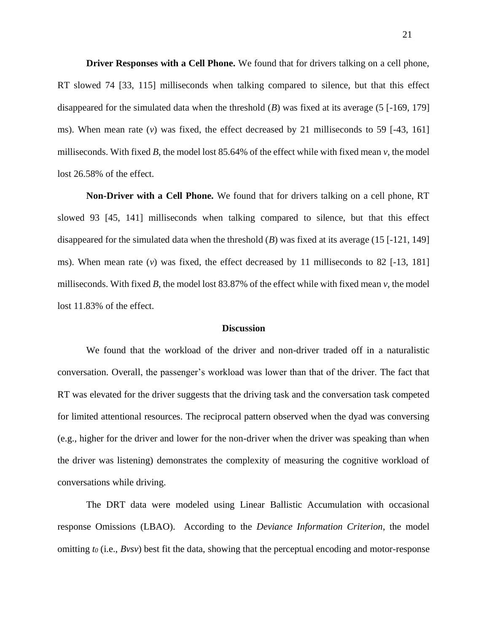**Driver Responses with a Cell Phone.** We found that for drivers talking on a cell phone, RT slowed 74 [33, 115] milliseconds when talking compared to silence, but that this effect disappeared for the simulated data when the threshold (*B*) was fixed at its average (5 [-169, 179] ms). When mean rate  $(v)$  was fixed, the effect decreased by 21 milliseconds to 59  $[-43, 161]$ milliseconds. With fixed *B*, the model lost  $85.64\%$  of the effect while with fixed mean *v*, the model lost 26.58% of the effect.

**Non-Driver with a Cell Phone.** We found that for drivers talking on a cell phone, RT slowed 93 [45, 141] milliseconds when talking compared to silence, but that this effect disappeared for the simulated data when the threshold (*B*) was fixed at its average (15 [-121, 149] ms). When mean rate  $(v)$  was fixed, the effect decreased by 11 milliseconds to 82 [-13, 181] milliseconds. With fixed *B*, the model lost 83.87% of the effect while with fixed mean  $\nu$ , the model lost 11.83% of the effect.

#### **Discussion**

We found that the workload of the driver and non-driver traded off in a naturalistic conversation. Overall, the passenger's workload was lower than that of the driver. The fact that RT was elevated for the driver suggests that the driving task and the conversation task competed for limited attentional resources. The reciprocal pattern observed when the dyad was conversing (e.g., higher for the driver and lower for the non-driver when the driver was speaking than when the driver was listening) demonstrates the complexity of measuring the cognitive workload of conversations while driving.

The DRT data were modeled using Linear Ballistic Accumulation with occasional response Omissions (LBAO). According to the *Deviance Information Criterion*, the model omitting *t<sup>0</sup>* (i.e., *Bvsv*) best fit the data, showing that the perceptual encoding and motor-response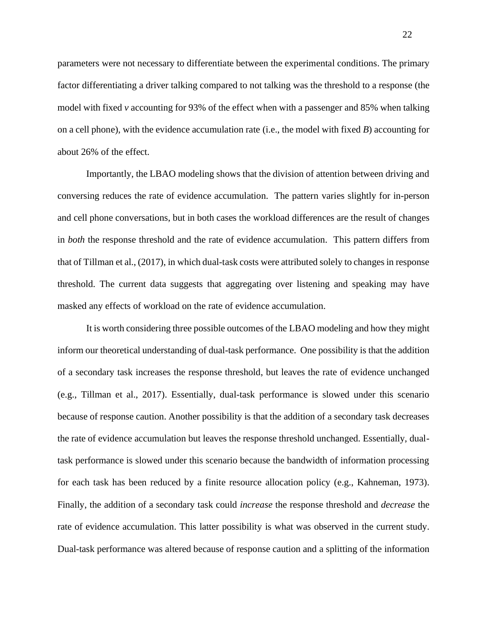parameters were not necessary to differentiate between the experimental conditions. The primary factor differentiating a driver talking compared to not talking was the threshold to a response (the model with fixed *v* accounting for 93% of the effect when with a passenger and 85% when talking on a cell phone), with the evidence accumulation rate (i.e., the model with fixed *B*) accounting for about 26% of the effect.

Importantly, the LBAO modeling shows that the division of attention between driving and conversing reduces the rate of evidence accumulation. The pattern varies slightly for in-person and cell phone conversations, but in both cases the workload differences are the result of changes in *both* the response threshold and the rate of evidence accumulation. This pattern differs from that of Tillman et al., (2017), in which dual-task costs were attributed solely to changes in response threshold. The current data suggests that aggregating over listening and speaking may have masked any effects of workload on the rate of evidence accumulation.

It is worth considering three possible outcomes of the LBAO modeling and how they might inform our theoretical understanding of dual-task performance. One possibility is that the addition of a secondary task increases the response threshold, but leaves the rate of evidence unchanged (e.g., Tillman et al., 2017). Essentially, dual-task performance is slowed under this scenario because of response caution. Another possibility is that the addition of a secondary task decreases the rate of evidence accumulation but leaves the response threshold unchanged. Essentially, dualtask performance is slowed under this scenario because the bandwidth of information processing for each task has been reduced by a finite resource allocation policy (e.g., Kahneman, 1973). Finally, the addition of a secondary task could *increase* the response threshold and *decrease* the rate of evidence accumulation. This latter possibility is what was observed in the current study. Dual-task performance was altered because of response caution and a splitting of the information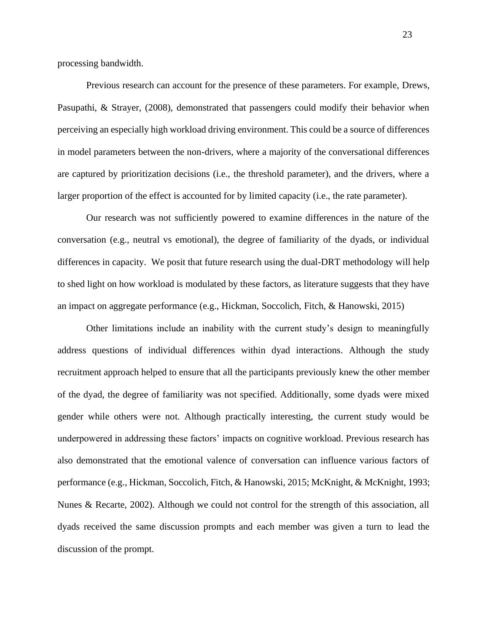processing bandwidth.

Previous research can account for the presence of these parameters. For example, Drews, Pasupathi, & Strayer, (2008), demonstrated that passengers could modify their behavior when perceiving an especially high workload driving environment. This could be a source of differences in model parameters between the non-drivers, where a majority of the conversational differences are captured by prioritization decisions (i.e., the threshold parameter), and the drivers, where a larger proportion of the effect is accounted for by limited capacity (i.e., the rate parameter).

Our research was not sufficiently powered to examine differences in the nature of the conversation (e.g., neutral vs emotional), the degree of familiarity of the dyads, or individual differences in capacity. We posit that future research using the dual-DRT methodology will help to shed light on how workload is modulated by these factors, as literature suggests that they have an impact on aggregate performance (e.g., Hickman, Soccolich, Fitch, & Hanowski, 2015)

Other limitations include an inability with the current study's design to meaningfully address questions of individual differences within dyad interactions. Although the study recruitment approach helped to ensure that all the participants previously knew the other member of the dyad, the degree of familiarity was not specified. Additionally, some dyads were mixed gender while others were not. Although practically interesting, the current study would be underpowered in addressing these factors' impacts on cognitive workload. Previous research has also demonstrated that the emotional valence of conversation can influence various factors of performance (e.g., Hickman, Soccolich, Fitch, & Hanowski, 2015; McKnight, & McKnight, 1993; Nunes & Recarte, 2002). Although we could not control for the strength of this association, all dyads received the same discussion prompts and each member was given a turn to lead the discussion of the prompt.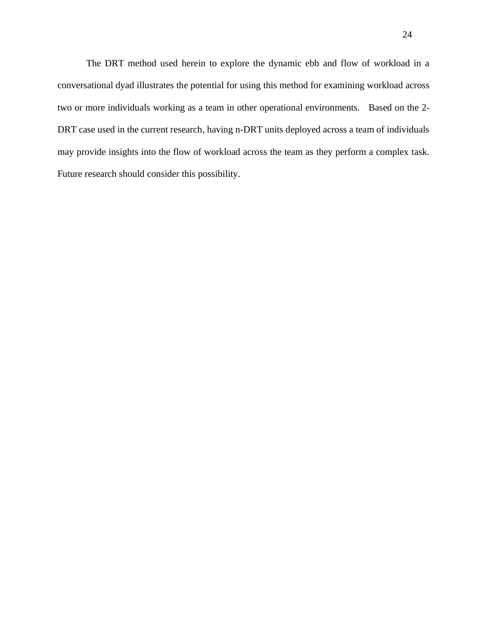The DRT method used herein to explore the dynamic ebb and flow of workload in a conversational dyad illustrates the potential for using this method for examining workload across two or more individuals working as a team in other operational environments. Based on the 2- DRT case used in the current research, having n-DRT units deployed across a team of individuals may provide insights into the flow of workload across the team as they perform a complex task. Future research should consider this possibility.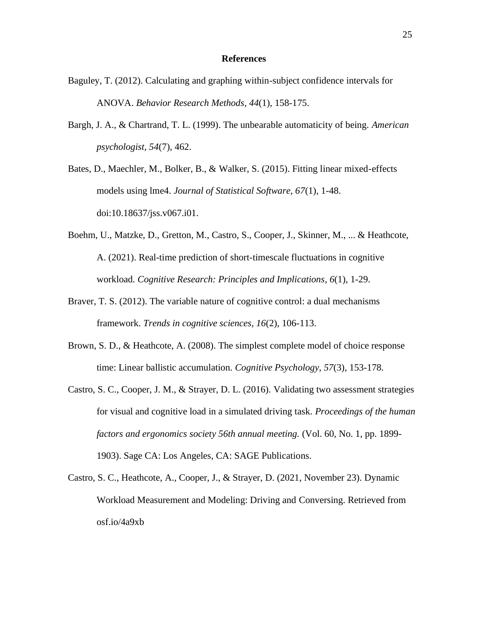### **References**

- Baguley, T. (2012). Calculating and graphing within-subject confidence intervals for ANOVA. *Behavior Research Methods*, *44*(1), 158-175.
- Bargh, J. A., & Chartrand, T. L. (1999). The unbearable automaticity of being. *American psychologist, 54*(7), 462.
- Bates, D., Maechler, M., Bolker, B., & Walker, S. (2015). Fitting linear mixed-effects models using lme4. *Journal of Statistical Software, 67*(1), 1-48. doi:10.18637/jss.v067.i01.
- Boehm, U., Matzke, D., Gretton, M., Castro, S., Cooper, J., Skinner, M., ... & Heathcote, A. (2021). Real-time prediction of short-timescale fluctuations in cognitive workload. *Cognitive Research: Principles and Implications, 6*(1), 1-29.
- Braver, T. S. (2012). The variable nature of cognitive control: a dual mechanisms framework. *Trends in cognitive sciences, 16*(2), 106-113.
- Brown, S. D., & Heathcote, A. (2008). The simplest complete model of choice response time: Linear ballistic accumulation. *Cognitive Psychology*, *57*(3), 153-178.
- Castro, S. C., Cooper, J. M., & Strayer, D. L. (2016). Validating two assessment strategies for visual and cognitive load in a simulated driving task. *Proceedings of the human factors and ergonomics society 56th annual meeting.* (Vol. 60, No. 1, pp. 1899- 1903). Sage CA: Los Angeles, CA: SAGE Publications.
- Castro, S. C., Heathcote, A., Cooper, J., & Strayer, D. (2021, November 23). Dynamic Workload Measurement and Modeling: Driving and Conversing. Retrieved from osf.io/4a9xb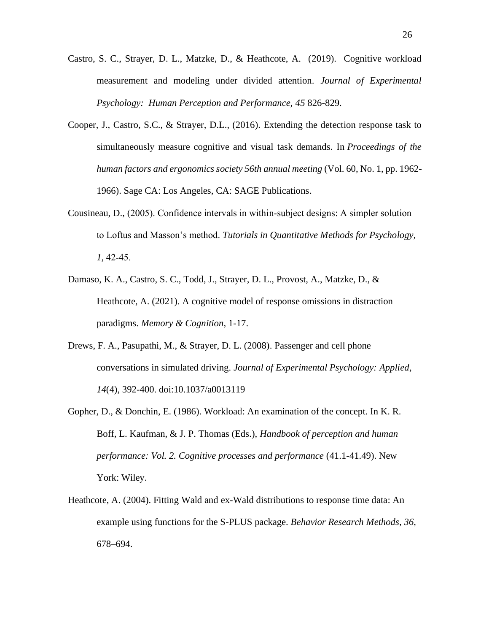- Castro, S. C., Strayer, D. L., Matzke, D., & Heathcote, A. (2019). Cognitive workload measurement and modeling under divided attention. *Journal of Experimental Psychology: Human Perception and Performance, 45* 826-829.
- Cooper, J., Castro, S.C., & Strayer, D.L., (2016). Extending the detection response task to simultaneously measure cognitive and visual task demands. In *Proceedings of the human factors and ergonomics society 56th annual meeting* (Vol. 60, No. 1, pp. 1962- 1966). Sage CA: Los Angeles, CA: SAGE Publications.
- Cousineau, D., (2005). Confidence intervals in within‐subject designs: A simpler solution to Loftus and Masson's method. *Tutorials in Quantitative Methods for Psychology, 1,* 42‐45.
- Damaso, K. A., Castro, S. C., Todd, J., Strayer, D. L., Provost, A., Matzke, D., & Heathcote, A. (2021). A cognitive model of response omissions in distraction paradigms. *Memory & Cognition*, 1-17.
- Drews, F. A., Pasupathi, M., & Strayer, D. L. (2008). Passenger and cell phone conversations in simulated driving. *Journal of Experimental Psychology: Applied*, *14*(4), 392-400. doi:10.1037/a0013119
- Gopher, D., & Donchin, E. (1986). Workload: An examination of the concept. In K. R. Boff, L. Kaufman, & J. P. Thomas (Eds.), *Handbook of perception and human performance: Vol. 2. Cognitive processes and performance* (41.1-41.49). New York: Wiley.
- Heathcote, A. (2004). Fitting Wald and ex-Wald distributions to response time data: An example using functions for the S-PLUS package. *Behavior Research Methods*, *36*, 678–694.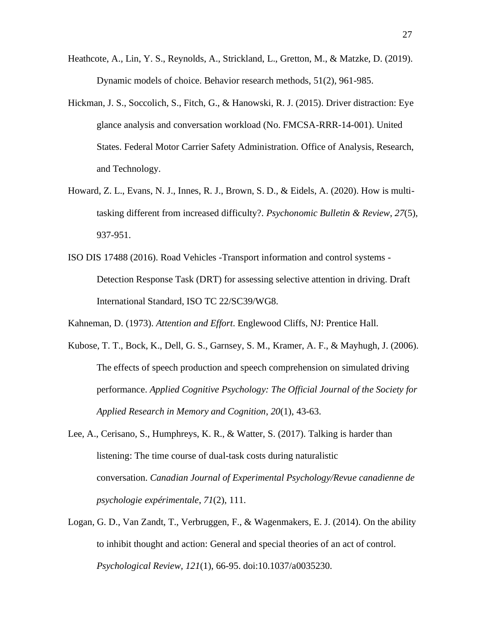- Heathcote, A., Lin, Y. S., Reynolds, A., Strickland, L., Gretton, M., & Matzke, D. (2019). Dynamic models of choice. Behavior research methods, 51(2), 961-985.
- Hickman, J. S., Soccolich, S., Fitch, G., & Hanowski, R. J. (2015). Driver distraction: Eye glance analysis and conversation workload (No. FMCSA-RRR-14-001). United States. Federal Motor Carrier Safety Administration. Office of Analysis, Research, and Technology.
- Howard, Z. L., Evans, N. J., Innes, R. J., Brown, S. D., & Eidels, A. (2020). How is multitasking different from increased difficulty?. *Psychonomic Bulletin & Review*, *27*(5), 937-951.
- ISO DIS 17488 (2016). Road Vehicles -Transport information and control systems Detection Response Task (DRT) for assessing selective attention in driving. Draft International Standard, ISO TC 22/SC39/WG8.

Kahneman, D. (1973). *Attention and Effort*. Englewood Cliffs, NJ: Prentice Hall.

- Kubose, T. T., Bock, K., Dell, G. S., Garnsey, S. M., Kramer, A. F., & Mayhugh, J. (2006). The effects of speech production and speech comprehension on simulated driving performance. *Applied Cognitive Psychology: The Official Journal of the Society for Applied Research in Memory and Cognition*, *20*(1), 43-63.
- Lee, A., Cerisano, S., Humphreys, K. R., & Watter, S. (2017). Talking is harder than listening: The time course of dual-task costs during naturalistic conversation. *Canadian Journal of Experimental Psychology/Revue canadienne de psychologie expérimentale*, *71*(2), 111.
- Logan, G. D., Van Zandt, T., Verbruggen, F., & Wagenmakers, E. J. (2014). On the ability to inhibit thought and action: General and special theories of an act of control. *Psychological Review, 121*(1), 66-95. doi:10.1037/a0035230.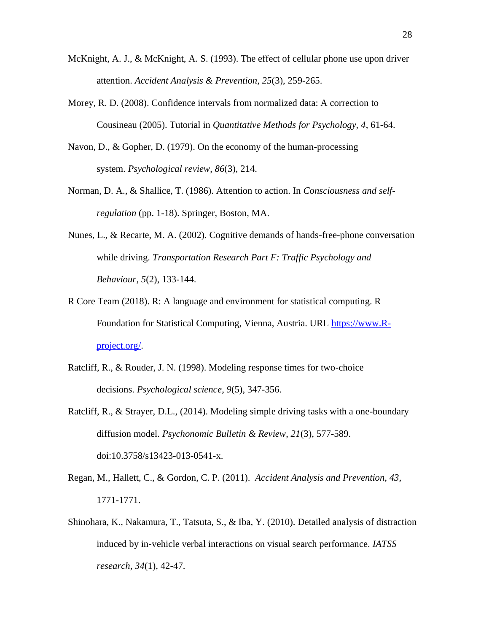- McKnight, A. J., & McKnight, A. S. (1993). The effect of cellular phone use upon driver attention. *Accident Analysis & Prevention, 25*(3), 259-265.
- Morey, R. D. (2008). Confidence intervals from normalized data: A correction to Cousineau (2005). Tutorial in *Quantitative Methods for Psychology, 4*, 61-64.
- Navon, D., & Gopher, D. (1979). On the economy of the human-processing system. *Psychological review*, *86*(3), 214.
- Norman, D. A., & Shallice, T. (1986). Attention to action. In *Consciousness and selfregulation* (pp. 1-18). Springer, Boston, MA.
- Nunes, L., & Recarte, M. A. (2002). Cognitive demands of hands-free-phone conversation while driving. *Transportation Research Part F: Traffic Psychology and Behaviour*, *5*(2), 133-144.
- R Core Team (2018). R: A language and environment for statistical computing. R Foundation for Statistical Computing, Vienna, Austria. URL [https://www.R](https://www.r-project.org/)[project.org/.](https://www.r-project.org/)
- Ratcliff, R., & Rouder, J. N. (1998). Modeling response times for two-choice decisions. *Psychological science*, *9*(5), 347-356.
- Ratcliff, R., & Strayer, D.L., (2014). Modeling simple driving tasks with a one-boundary diffusion model. *Psychonomic Bulletin & Review*, *21*(3), 577-589. doi:10.3758/s13423-013-0541-x.
- Regan, M., Hallett, C., & Gordon, C. P. (2011). *Accident Analysis and Prevention, 43,* 1771-1771.
- Shinohara, K., Nakamura, T., Tatsuta, S., & Iba, Y. (2010). Detailed analysis of distraction induced by in-vehicle verbal interactions on visual search performance. *IATSS research*, *34*(1), 42-47.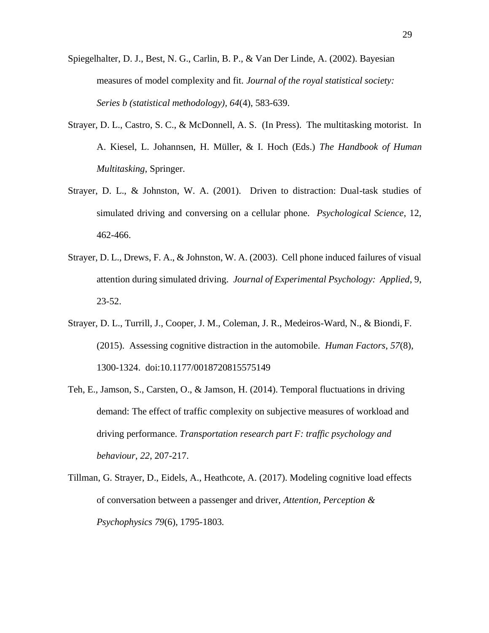Spiegelhalter, D. J., Best, N. G., Carlin, B. P., & Van Der Linde, A. (2002). Bayesian measures of model complexity and fit. *Journal of the royal statistical society: Series b (statistical methodology), 64*(4), 583-639.

- Strayer, D. L., Castro, S. C., & McDonnell, A. S. (In Press). The multitasking motorist. In A. Kiesel, L. Johannsen, H. Müller, & I. Hoch (Eds.) *The Handbook of Human Multitasking*, Springer.
- Strayer, D. L., & Johnston, W. A. (2001). Driven to distraction: Dual-task studies of simulated driving and conversing on a cellular phone. *Psychological Science*, 12, 462-466.
- Strayer, D. L., Drews, F. A., & Johnston, W. A. (2003). Cell phone induced failures of visual attention during simulated driving. *Journal of Experimental Psychology: Applied*, 9, 23-52.
- Strayer, D. L., Turrill, J., Cooper, J. M., Coleman, J. R., Medeiros-Ward, N., & Biondi, F. (2015). Assessing cognitive distraction in the automobile. *Human Factors*, *57*(8), 1300-1324. doi:10.1177/0018720815575149
- Teh, E., Jamson, S., Carsten, O., & Jamson, H. (2014). Temporal fluctuations in driving demand: The effect of traffic complexity on subjective measures of workload and driving performance. *Transportation research part F: traffic psychology and behaviour*, *22*, 207-217.
- Tillman, G. Strayer, D., Eidels, A., Heathcote, A. (2017). Modeling cognitive load effects of conversation between a passenger and driver, *Attention, Perception & Psychophysics 79*(6), 1795-1803*.*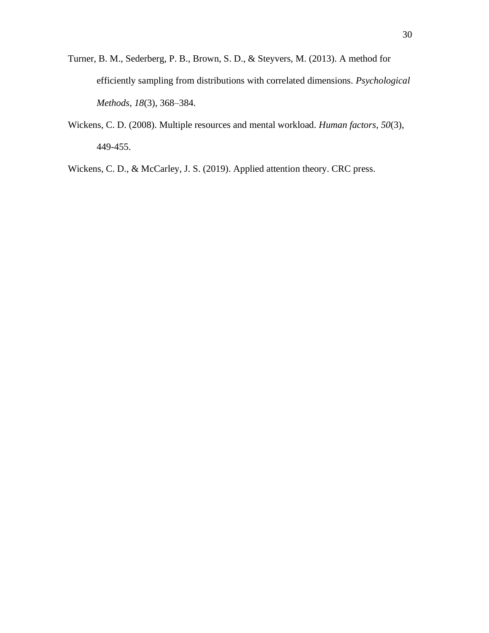- Turner, B. M., Sederberg, P. B., Brown, S. D., & Steyvers, M. (2013). A method for efficiently sampling from distributions with correlated dimensions. *Psychological Methods*, *18*(3), 368–384.
- Wickens, C. D. (2008). Multiple resources and mental workload. *Human factors*, *50*(3), 449-455.

Wickens, C. D., & McCarley, J. S. (2019). Applied attention theory. CRC press.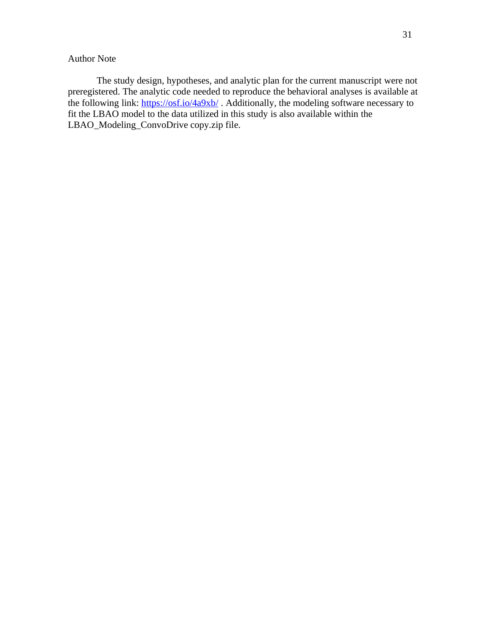# Author Note

The study design, hypotheses, and analytic plan for the current manuscript were not preregistered. The analytic code needed to reproduce the behavioral analyses is available at the following link:<https://osf.io/4a9xb/> . Additionally, the modeling software necessary to fit the LBAO model to the data utilized in this study is also available within the LBAO\_Modeling\_ConvoDrive copy.zip file.